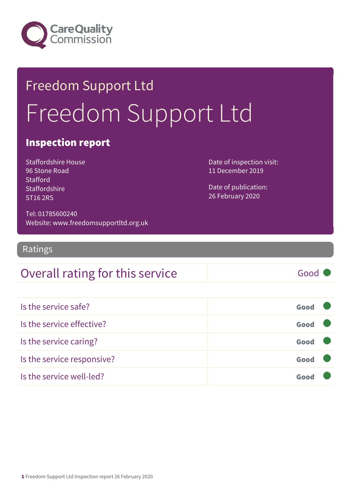

## Freedom Support Ltd Freedom Support Ltd

#### Inspection report

Staffordshire House 96 Stone Road **Stafford Staffordshire** ST16 2RS

Date of inspection visit: 11 December 2019

Date of publication: 26 February 2020

Tel: 01785600240 Website: www.freedomsupportltd.org.uk

Ratings

#### Overall rating for this service Fig. 6000

| Is the service safe?       | Good |  |
|----------------------------|------|--|
| Is the service effective?  | Good |  |
| Is the service caring?     | Good |  |
| Is the service responsive? | Good |  |
| Is the service well-led?   | Goo  |  |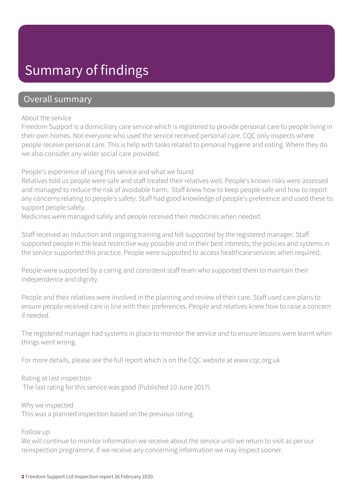### Summary of findings

#### Overall summary

#### About the service

Freedom Support is a domiciliary care service which is registered to provide personal care to people living in their own homes. Not everyone who used the service received personal care. CQC only inspects where people receive personal care. This is help with tasks related to personal hygiene and eating. Where they do we also consider any wider social care provided.

People's experience of using this service and what we found

Relatives told us people were safe and staff treated their relatives well. People's known risks were assessed and managed to reduce the risk of avoidable harm. Staff knew how to keep people safe and how to report any concerns relating to people's safety. Staff had good knowledge of people's preference and used these to support people safely.

Medicines were managed safely and people received their medicines when needed.

Staff received an induction and ongoing training and felt supported by the registered manager. Staff supported people in the least restrictive way possible and in their best interests; the policies and systems in the service supported this practice. People were supported to access healthcare services when required.

People were supported by a caring and consistent staff team who supported them to maintain their independence and dignity.

People and their relatives were involved in the planning and review of their care. Staff used care plans to ensure people received care in line with their preferences. People and relatives knew how to raise a concern if needed.

The registered manager had systems in place to monitor the service and to ensure lessons were learnt when things went wrong.

For more details, please see the full report which is on the CQC website at www.cqc.org.uk

Rating at last inspection The last rating for this service was good (Published 10 June 2017).

Why we inspected This was a planned inspection based on the previous rating.

Follow up

We will continue to monitor information we receive about the service until we return to visit as per our reinspection programme. If we receive any concerning information we may inspect sooner.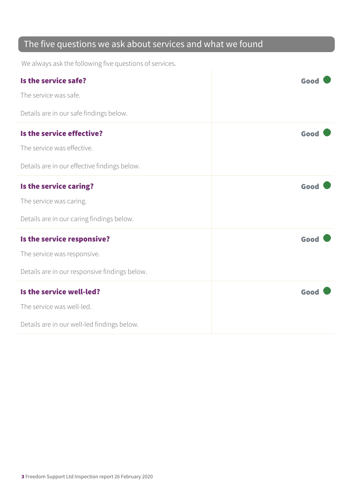#### The five questions we ask about services and what we found

We always ask the following five questions of services.

| Is the service safe?                          | Good |
|-----------------------------------------------|------|
| The service was safe.                         |      |
| Details are in our safe findings below.       |      |
| Is the service effective?                     | Good |
| The service was effective.                    |      |
| Details are in our effective findings below.  |      |
| Is the service caring?                        | Good |
| The service was caring.                       |      |
| Details are in our caring findings below.     |      |
| Is the service responsive?                    | Good |
| The service was responsive.                   |      |
| Details are in our responsive findings below. |      |
| Is the service well-led?                      | Good |
| The service was well-led.                     |      |
| Details are in our well-led findings below.   |      |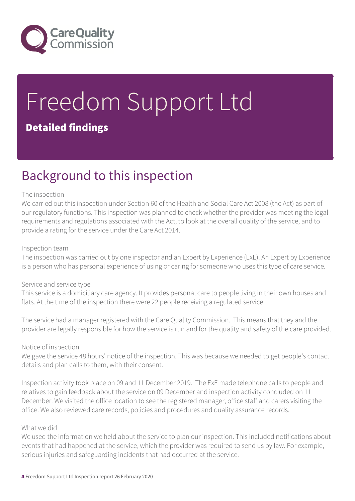

# Freedom Support Ltd

#### Detailed findings

### Background to this inspection

#### The inspection

We carried out this inspection under Section 60 of the Health and Social Care Act 2008 (the Act) as part of our regulatory functions. This inspection was planned to check whether the provider was meeting the legal requirements and regulations associated with the Act, to look at the overall quality of the service, and to provide a rating for the service under the Care Act 2014.

#### Inspection team

The inspection was carried out by one inspector and an Expert by Experience (ExE). An Expert by Experience is a person who has personal experience of using or caring for someone who uses this type of care service.

#### Service and service type

This service is a domiciliary care agency. It provides personal care to people living in their own houses and flats. At the time of the inspection there were 22 people receiving a regulated service.

The service had a manager registered with the Care Quality Commission. This means that they and the provider are legally responsible for how the service is run and for the quality and safety of the care provided.

#### Notice of inspection

We gave the service 48 hours' notice of the inspection. This was because we needed to get people's contact details and plan calls to them, with their consent.

Inspection activity took place on 09 and 11 December 2019. The ExE made telephone calls to people and relatives to gain feedback about the service on 09 December and inspection activity concluded on 11 December. We visited the office location to see the registered manager, office staff and carers visiting the office. We also reviewed care records, policies and procedures and quality assurance records.

#### What we did

We used the information we held about the service to plan our inspection. This included notifications about events that had happened at the service, which the provider was required to send us by law. For example, serious injuries and safeguarding incidents that had occurred at the service.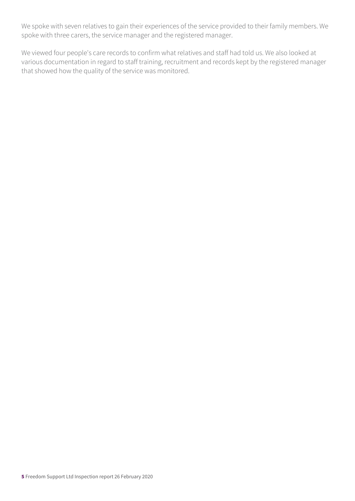We spoke with seven relatives to gain their experiences of the service provided to their family members. We spoke with three carers, the service manager and the registered manager.

We viewed four people's care records to confirm what relatives and staff had told us. We also looked at various documentation in regard to staff training, recruitment and records kept by the registered manager that showed how the quality of the service was monitored.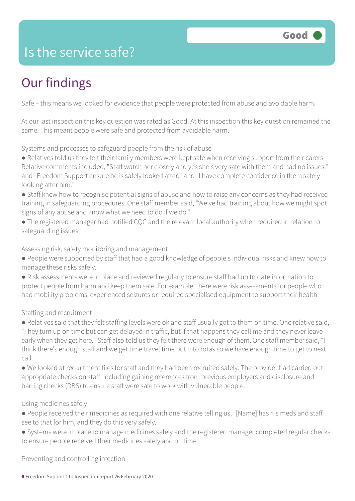### Is the service safe?

### Our findings

Safe – this means we looked for evidence that people were protected from abuse and avoidable harm.

At our last inspection this key question was rated as Good. At this inspection this key question remained the same. This meant people were safe and protected from avoidable harm.

Systems and processes to safeguard people from the risk of abuse

- Relatives told us they felt their family members were kept safe when receiving support from their carers. Relative comments included, "Staff watch her closely and yes she's very safe with them and had no issues." and "Freedom Support ensure he is safely looked after," and "I have complete confidence in them safely looking after him."
- Staff knew how to recognise potential signs of abuse and how to raise any concerns as they had received training in safeguarding procedures. One staff member said, "We've had training about how we might spot signs of any abuse and know what we need to do if we do."
- The registered manager had notified CQC and the relevant local authority when required in relation to safeguarding issues.

Assessing risk, safety monitoring and management

- People were supported by staff that had a good knowledge of people's individual risks and knew how to manage these risks safely.
- Risk assessments were in place and reviewed regularly to ensure staff had up to date information to protect people from harm and keep them safe. For example, there were risk assessments for people who had mobility problems, experienced seizures or required specialised equipment to support their health.

#### Staffing and recruitment

- Relatives said that they felt staffing levels were ok and staff usually got to them on time. One relative said, "They turn up on time but can get delayed in traffic, but if that happens they call me and they never leave early when they get here." Staff also told us they felt there were enough of them. One staff member said, "I think there's enough staff and we get time travel time put into rotas so we have enough time to get to next call."
- We looked at recruitment files for staff and they had been recruited safely. The provider had carried out appropriate checks on staff, including gaining references from previous employers and disclosure and barring checks (DBS) to ensure staff were safe to work with vulnerable people.

#### Using medicines safely

- People received their medicines as required with one relative telling us, "[Name] has his meds and staff see to that for him, and they do this very safely."
- Systems were in place to manage medicines safely and the registered manager completed regular checks to ensure people received their medicines safely and on time.

Preventing and controlling infection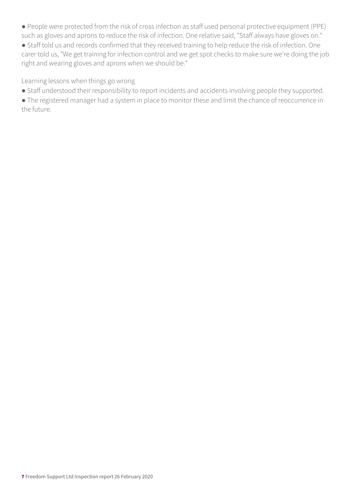- People were protected from the risk of cross infection as staff used personal protective equipment (PPE) such as gloves and aprons to reduce the risk of infection. One relative said, "Staff always have gloves on."
- Staff told us and records confirmed that they received training to help reduce the risk of infection. One carer told us, "We get training for infection control and we get spot checks to make sure we're doing the job right and wearing gloves and aprons when we should be."

Learning lessons when things go wrong

- Staff understood their responsibility to report incidents and accidents involving people they supported.
- The registered manager had a system in place to monitor these and limit the chance of reoccurrence in the future.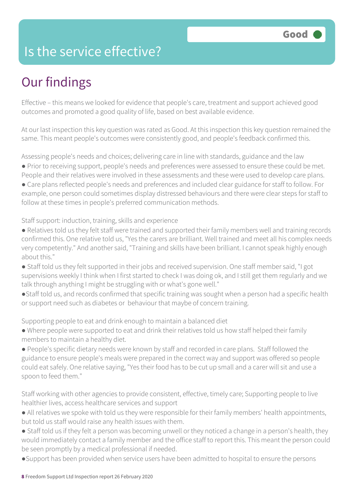### Is the service effective?

### Our findings

Effective – this means we looked for evidence that people's care, treatment and support achieved good outcomes and promoted a good quality of life, based on best available evidence.

At our last inspection this key question was rated as Good. At this inspection this key question remained the same. This meant people's outcomes were consistently good, and people's feedback confirmed this.

Assessing people's needs and choices; delivering care in line with standards, guidance and the law ● Prior to receiving support, people's needs and preferences were assessed to ensure these could be met. People and their relatives were involved in these assessments and these were used to develop care plans. ● Care plans reflected people's needs and preferences and included clear guidance for staff to follow. For

example, one person could sometimes display distressed behaviours and there were clear steps for staff to follow at these times in people's preferred communication methods.

Staff support: induction, training, skills and experience

- Relatives told us they felt staff were trained and supported their family members well and training records confirmed this. One relative told us, "Yes the carers are brilliant. Well trained and meet all his complex needs very competently." And another said, "Training and skills have been brilliant. I cannot speak highly enough about this."
- Staff told us they felt supported in their jobs and received supervision. One staff member said, "I got supervisions weekly I think when I first started to check I was doing ok, and I still get them regularly and we talk through anything I might be struggling with or what's gone well."
- ●Staff told us, and records confirmed that specific training was sought when a person had a specific health or support need such as diabetes or behaviour that maybe of concern training.

Supporting people to eat and drink enough to maintain a balanced diet

- Where people were supported to eat and drink their relatives told us how staff helped their family members to maintain a healthy diet.
- People's specific dietary needs were known by staff and recorded in care plans. Staff followed the guidance to ensure people's meals were prepared in the correct way and support was offered so people could eat safely. One relative saying, "Yes their food has to be cut up small and a carer will sit and use a spoon to feed them."

Staff working with other agencies to provide consistent, effective, timely care; Supporting people to live healthier lives, access healthcare services and support

- All relatives we spoke with told us they were responsible for their family members' health appointments, but told us staff would raise any health issues with them.
- Staff told us if they felt a person was becoming unwell or they noticed a change in a person's health, they would immediately contact a family member and the office staff to report this. This meant the person could be seen promptly by a medical professional if needed.
- ●Support has been provided when service users have been admitted to hospital to ensure the persons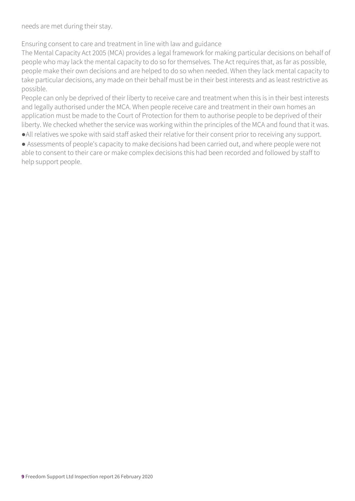needs are met during their stay.

Ensuring consent to care and treatment in line with law and guidance

The Mental Capacity Act 2005 (MCA) provides a legal framework for making particular decisions on behalf of people who may lack the mental capacity to do so for themselves. The Act requires that, as far as possible, people make their own decisions and are helped to do so when needed. When they lack mental capacity to take particular decisions, any made on their behalf must be in their best interests and as least restrictive as possible.

People can only be deprived of their liberty to receive care and treatment when this is in their best interests and legally authorised under the MCA. When people receive care and treatment in their own homes an application must be made to the Court of Protection for them to authorise people to be deprived of their liberty. We checked whether the service was working within the principles of the MCA and found that it was.

- ●All relatives we spoke with said staff asked their relative for their consent prior to receiving any support.
- Assessments of people's capacity to make decisions had been carried out, and where people were not able to consent to their care or make complex decisions this had been recorded and followed by staff to help support people.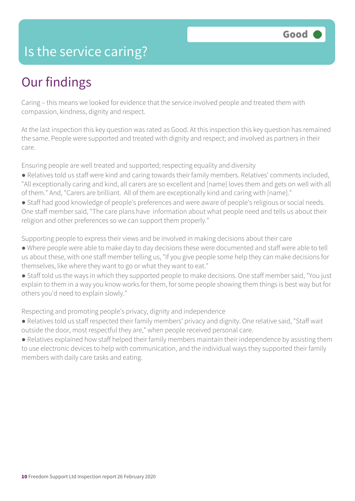### Is the service caring?

### Our findings

Caring – this means we looked for evidence that the service involved people and treated them with compassion, kindness, dignity and respect.

At the last inspection this key question was rated as Good. At this inspection this key question has remained the same. People were supported and treated with dignity and respect; and involved as partners in their care.

Ensuring people are well treated and supported; respecting equality and diversity

- Relatives told us staff were kind and caring towards their family members. Relatives' comments included, "All exceptionally caring and kind, all carers are so excellent and [name] loves them and gets on well with all of them." And, "Carers are brilliant. All of them are exceptionally kind and caring with [name]."
- Staff had good knowledge of people's preferences and were aware of people's religious or social needs. One staff member said, "The care plans have information about what people need and tells us about their religion and other preferences so we can support them properly."

Supporting people to express their views and be involved in making decisions about their care

- Where people were able to make day to day decisions these were documented and staff were able to tell us about these, with one staff member telling us, "If you give people some help they can make decisions for themselves, like where they want to go or what they want to eat."
- Staff told us the ways in which they supported people to make decisions. One staff member said, "You just explain to them in a way you know works for them, for some people showing them things is best way but for others you'd need to explain slowly."

Respecting and promoting people's privacy, dignity and independence

- Relatives told us staff respected their family members' privacy and dignity. One relative said, "Staff wait outside the door, most respectful they are," when people received personal care.
- Relatives explained how staff helped their family members maintain their independence by assisting them to use electronic devices to help with communication, and the individual ways they supported their family members with daily care tasks and eating.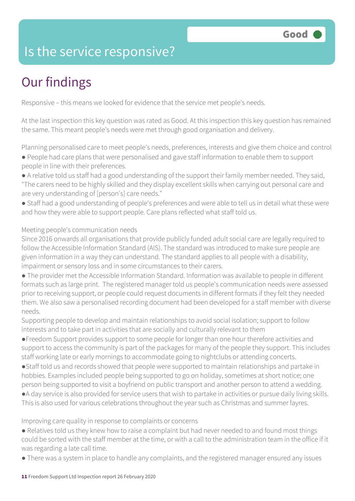### Is the service responsive?

### Our findings

Responsive – this means we looked for evidence that the service met people's needs.

At the last inspection this key question was rated as Good. At this inspection this key question has remained the same. This meant people's needs were met through good organisation and delivery.

Planning personalised care to meet people's needs, preferences, interests and give them choice and control

- People had care plans that were personalised and gave staff information to enable them to support people in line with their preferences.
- A relative told us staff had a good understanding of the support their family member needed. They said, "The carers need to be highly skilled and they display excellent skills when carrying out personal care and are very understanding of [person's] care needs."
- Staff had a good understanding of people's preferences and were able to tell us in detail what these were and how they were able to support people. Care plans reflected what staff told us.

#### Meeting people's communication needs

Since 2016 onwards all organisations that provide publicly funded adult social care are legally required to follow the Accessible Information Standard (AIS). The standard was introduced to make sure people are given information in a way they can understand. The standard applies to all people with a disability, impairment or sensory loss and in some circumstances to their carers.

● The provider met the Accessible Information Standard. Information was available to people in different formats such as large print. The registered manager told us people's communication needs were assessed prior to receiving support, or people could request documents in different formats if they felt they needed them. We also saw a personalised recording document had been developed for a staff member with diverse needs.

Supporting people to develop and maintain relationships to avoid social isolation; support to follow interests and to take part in activities that are socially and culturally relevant to them

●Freedom Support provides support to some people for longer than one hour therefore activities and support to access the community is part of the packages for many of the people they support. This includes staff working late or early mornings to accommodate going to nightclubs or attending concerts.

●Staff told us and records showed that people were supported to maintain relationships and partake in hobbies. Examples included people being supported to go on holiday, sometimes at short notice; one person being supported to visit a boyfriend on public transport and another person to attend a wedding.

●A day service is also provided for service users that wish to partake in activities or pursue daily living skills. This is also used for various celebrations throughout the year such as Christmas and summer fayres.

#### Improving care quality in response to complaints or concerns

- Relatives told us they knew how to raise a complaint but had never needed to and found most things could be sorted with the staff member at the time, or with a call to the administration team in the office if it was regarding a late call time.
- There was a system in place to handle any complaints, and the registered manager ensured any issues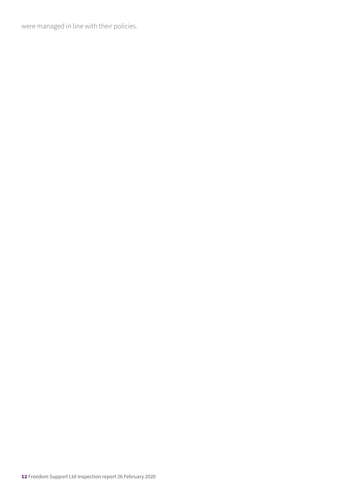were managed in line with their policies.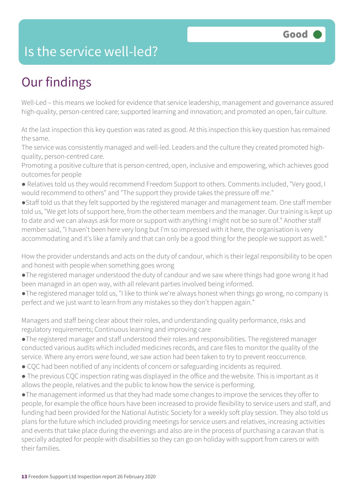### Is the service well-led?

### Our findings

Well-Led – this means we looked for evidence that service leadership, management and governance assured high-quality, person-centred care; supported learning and innovation; and promoted an open, fair culture.

At the last inspection this key question was rated as good. At this inspection this key question has remained the same.

The service was consistently managed and well-led. Leaders and the culture they created promoted highquality, person-centred care.

Promoting a positive culture that is person-centred, open, inclusive and empowering, which achieves good outcomes for people

- Relatives told us they would recommend Freedom Support to others. Comments included, "Very good, I would recommend to others" and "The support they provide takes the pressure off me."
- ●Staff told us that they felt supported by the registered manager and management team. One staff member told us, "We get lots of support here, from the other team members and the manager. Our training is kept up to date and we can always ask for more or support with anything I might not be so sure of." Another staff member said, "I haven't been here very long but I'm so impressed with it here, the organisation is very accommodating and it's like a family and that can only be a good thing for the people we support as well."

How the provider understands and acts on the duty of candour, which is their legal responsibility to be open and honest with people when something goes wrong

- ●The registered manager understood the duty of candour and we saw where things had gone wrong it had been managed in an open way, with all relevant parties involved being informed.
- ●The registered manager told us, "I like to think we're always honest when things go wrong, no company is perfect and we just want to learn from any mistakes so they don't happen again."

Managers and staff being clear about their roles, and understanding quality performance, risks and regulatory requirements; Continuous learning and improving care

- ●The registered manager and staff understood their roles and responsibilities. The registered manager conducted various audits which included medicines records, and care files to monitor the quality of the service. Where any errors were found, we saw action had been taken to try to prevent reoccurrence.
- CQC had been notified of any incidents of concern or safeguarding incidents as required.
- The previous CQC inspection rating was displayed in the office and the website. This is important as it allows the people, relatives and the public to know how the service is performing.

●The management informed us that they had made some changes to improve the services they offer to people, for example the office hours have been increased to provide flexibility to service users and staff, and funding had been provided for the National Autistic Society for a weekly soft play session. They also told us plans for the future which included providing meetings for service users and relatives, increasing activities and events that take place during the evenings and also are in the process of purchasing a caravan that is specially adapted for people with disabilities so they can go on holiday with support from carers or with their families.